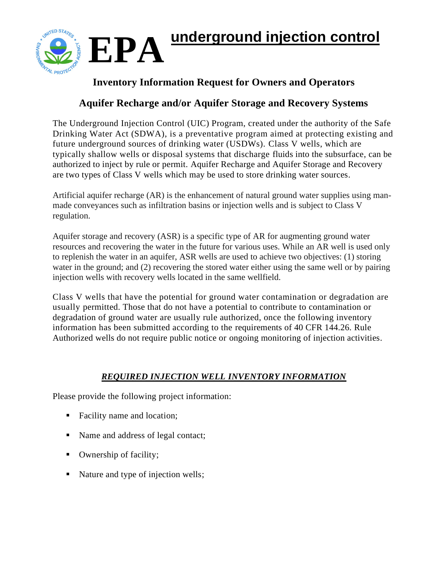



# **Inventory Information Request for Owners and Operators**

# **Aquifer Recharge and/or Aquifer Storage and Recovery Systems**

The Underground Injection Control (UIC) Program, created under the authority of the Safe Drinking Water Act (SDWA), is a preventative program aimed at protecting existing and future underground sources of drinking water (USDWs). Class V wells, which are typically shallow wells or disposal systems that discharge fluids into the subsurface, can be authorized to inject by rule or permit. Aquifer Recharge and Aquifer Storage and Recovery are two types of Class V wells which may be used to store drinking water sources.

Artificial aquifer recharge (AR) is the enhancement of natural ground water supplies using manmade conveyances such as infiltration basins or injection wells and is subject to Class V regulation.

Aquifer storage and recovery (ASR) is a specific type of AR for augmenting ground water resources and recovering the water in the future for various uses. While an AR well is used only to replenish the water in an aquifer, ASR wells are used to achieve two objectives: (1) storing water in the ground; and (2) recovering the stored water either using the same well or by pairing injection wells with recovery wells located in the same wellfield.

Class V wells that have the potential for ground water contamination or degradation are usually permitted. Those that do not have a potential to contribute to contamination or degradation of ground water are usually rule authorized, once the following inventory information has been submitted according to the requirements of 40 CFR 144.26. Rule Authorized wells do not require public notice or ongoing monitoring of injection activities.

# *REQUIRED INJECTION WELL INVENTORY INFORMATION*

Please provide the following project information:

- Facility name and location;
- Name and address of legal contact;
- Ownership of facility;
- Nature and type of injection wells;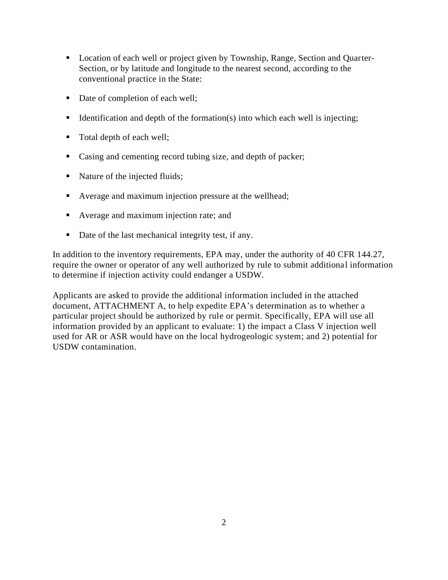- Location of each well or project given by Township, Range, Section and Quarter-Section, or by latitude and longitude to the nearest second, according to the conventional practice in the State:
- Date of completion of each well;
- $\blacksquare$  Identification and depth of the formation(s) into which each well is injecting;
- Total depth of each well;
- Casing and cementing record tubing size, and depth of packer;
- Nature of the injected fluids;
- Average and maximum injection pressure at the wellhead;
- Average and maximum injection rate; and
- Date of the last mechanical integrity test, if any.

In addition to the inventory requirements, EPA may, under the authority of 40 CFR 144.27, require the owner or operator of any well authorized by rule to submit additional information to determine if injection activity could endanger a USDW.

Applicants are asked to provide the additional information included in the attached document, ATTACHMENT A, to help expedite EPA's determination as to whether a particular project should be authorized by rule or permit. Specifically, EPA will use all information provided by an applicant to evaluate: 1) the impact a Class V injection well used for AR or ASR would have on the local hydrogeologic system; and 2) potential for USDW contamination.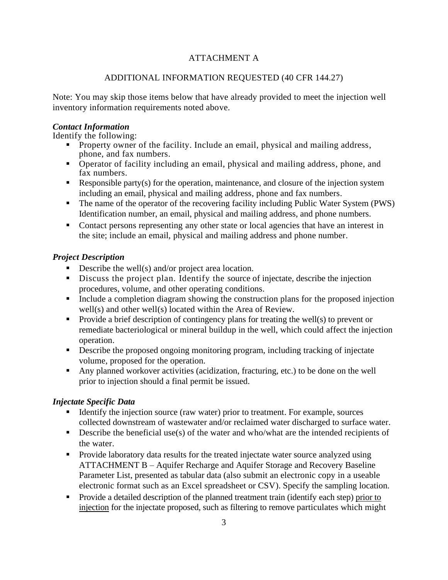## ATTACHMENT A

### ADDITIONAL INFORMATION REQUESTED (40 CFR 144.27)

Note: You may skip those items below that have already provided to meet the injection well inventory information requirements noted above.

#### *Contact Information*

Identify the following:

- **•** Property owner of the facility. Include an email, physical and mailing address, phone, and fax numbers.
- Operator of facility including an email, physical and mailing address, phone, and fax numbers.
- Exercise Party (s) for the operation, maintenance, and closure of the injection system including an email, physical and mailing address, phone and fax numbers.
- The name of the operator of the recovering facility including Public Water System (PWS) Identification number, an email, physical and mailing address, and phone numbers.
- Contact persons representing any other state or local agencies that have an interest in the site; include an email, physical and mailing address and phone number.

### *Project Description*

- $\blacksquare$  Describe the well(s) and/or project area location.
- **EXECUTE:** Discuss the project plan. Identify the source of injectate, describe the injection procedures, volume, and other operating conditions.
- Include a completion diagram showing the construction plans for the proposed injection well(s) and other well(s) located within the Area of Review.
- Provide a brief description of contingency plans for treating the well(s) to prevent or remediate bacteriological or mineral buildup in the well, which could affect the injection operation.
- **•** Describe the proposed ongoing monitoring program, including tracking of injectate volume, proposed for the operation.
- Any planned workover activities (acidization, fracturing, etc.) to be done on the well prior to injection should a final permit be issued.

### *Injectate Specific Data*

- Identify the injection source (raw water) prior to treatment. For example, sources collected downstream of wastewater and/or reclaimed water discharged to surface water.
- $\blacksquare$  Describe the beneficial use(s) of the water and who/what are the intended recipients of the water.
- Provide laboratory data results for the treated injectate water source analyzed using ATTACHMENT B – Aquifer Recharge and Aquifer Storage and Recovery Baseline Parameter List, presented as tabular data (also submit an electronic copy in a useable electronic format such as an Excel spreadsheet or CSV). Specify the sampling location.
- Provide a detailed description of the planned treatment train (identify each step) prior to injection for the injectate proposed, such as filtering to remove particulates which might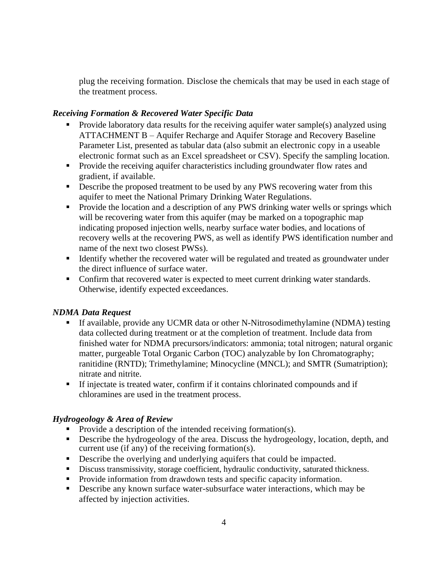plug the receiving formation. Disclose the chemicals that may be used in each stage of the treatment process.

#### *Receiving Formation & Recovered Water Specific Data*

- Provide laboratory data results for the receiving aquifer water sample(s) analyzed using ATTACHMENT B – Aquifer Recharge and Aquifer Storage and Recovery Baseline Parameter List, presented as tabular data (also submit an electronic copy in a useable electronic format such as an Excel spreadsheet or CSV). Specify the sampling location.
- **•** Provide the receiving aquifer characteristics including groundwater flow rates and gradient, if available.
- **•** Describe the proposed treatment to be used by any PWS recovering water from this aquifer to meet the National Primary Drinking Water Regulations.
- **•** Provide the location and a description of any PWS drinking water wells or springs which will be recovering water from this aquifer (may be marked on a topographic map indicating proposed injection wells, nearby surface water bodies, and locations of recovery wells at the recovering PWS, as well as identify PWS identification number and name of the next two closest PWSs).
- Identify whether the recovered water will be regulated and treated as groundwater under the direct influence of surface water.
- Confirm that recovered water is expected to meet current drinking water standards. Otherwise, identify expected exceedances.

### *NDMA Data Request*

- If available, provide any UCMR data or other N-Nitrosodimethylamine (NDMA) testing data collected during treatment or at the completion of treatment. Include data from finished water for NDMA precursors/indicators: ammonia; total nitrogen; natural organic matter, purgeable Total Organic Carbon (TOC) analyzable by Ion Chromatography; ranitidine (RNTD); Trimethylamine; Minocycline (MNCL); and SMTR (Sumatription); nitrate and nitrite.
- If injectate is treated water, confirm if it contains chlorinated compounds and if chloramines are used in the treatment process.

### *Hydrogeology & Area of Review*

- $\blacksquare$  Provide a description of the intended receiving formation(s).
- **•** Describe the hydrogeology of the area. Discuss the hydrogeology, location, depth, and current use (if any) of the receiving formation(s).
- **•** Describe the overlying and underlying aquifers that could be impacted.
- **•** Discuss transmissivity, storage coefficient, hydraulic conductivity, saturated thickness.
- Provide information from drawdown tests and specific capacity information.
- Describe any known surface water-subsurface water interactions, which may be affected by injection activities.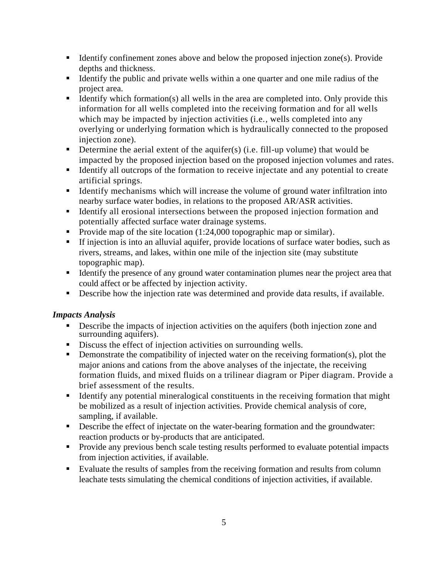- $\blacksquare$  Identify confinement zones above and below the proposed injection zone(s). Provide depths and thickness.
- Identify the public and private wells within a one quarter and one mile radius of the project area.
- $\blacksquare$  Identify which formation(s) all wells in the area are completed into. Only provide this information for all wells completed into the receiving formation and for all wells which may be impacted by injection activities (i.e., wells completed into any overlying or underlying formation which is hydraulically connected to the proposed injection zone).
- **•** Determine the aerial extent of the aquifer(s) (i.e. fill-up volume) that would be impacted by the proposed injection based on the proposed injection volumes and rates.
- Identify all outcrops of the formation to receive injectate and any potential to create artificial springs.
- Identify mechanisms which will increase the volume of ground water infiltration into nearby surface water bodies, in relations to the proposed AR/ASR activities.
- Identify all erosional intersections between the proposed injection formation and potentially affected surface water drainage systems.
- Provide map of the site location (1:24,000 topographic map or similar).
- **EXTERCT** If injection is into an alluvial aquifer, provide locations of surface water bodies, such as rivers, streams, and lakes, within one mile of the injection site (may substitute topographic map).
- Identify the presence of any ground water contamination plumes near the project area that could affect or be affected by injection activity.
- **•** Describe how the injection rate was determined and provide data results, if available.

### *Impacts Analysis*

- Describe the impacts of injection activities on the aquifers (both injection zone and surrounding aquifers).
- Discuss the effect of injection activities on surrounding wells.
- Demonstrate the compatibility of injected water on the receiving formation(s), plot the major anions and cations from the above analyses of the injectate, the receiving formation fluids, and mixed fluids on a trilinear diagram or Piper diagram. Provide a brief assessment of the results.
- Identify any potential mineralogical constituents in the receiving formation that might be mobilized as a result of injection activities. Provide chemical analysis of core, sampling, if available.
- **•** Describe the effect of injectate on the water-bearing formation and the groundwater: reaction products or by-products that are anticipated.
- Provide any previous bench scale testing results performed to evaluate potential impacts from injection activities, if available.
- Evaluate the results of samples from the receiving formation and results from column leachate tests simulating the chemical conditions of injection activities, if available.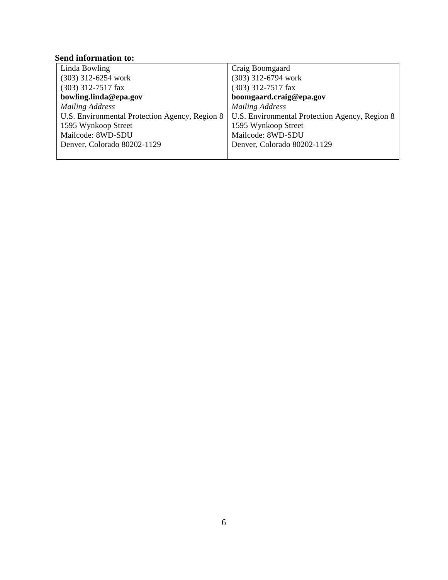## **Send information to:**

| Linda Bowling                                  | Craig Boomgaard                                |
|------------------------------------------------|------------------------------------------------|
| $(303)$ 312-6254 work                          | $(303)$ 312-6794 work                          |
| $(303)$ 312-7517 fax                           | (303) 312-7517 fax                             |
| bowling.linda@epa.gov                          | boomgaard.craig@epa.gov                        |
| <b>Mailing Address</b>                         | <b>Mailing Address</b>                         |
| U.S. Environmental Protection Agency, Region 8 | U.S. Environmental Protection Agency, Region 8 |
| 1595 Wynkoop Street                            | 1595 Wynkoop Street                            |
| Mailcode: 8WD-SDU                              | Mailcode: 8WD-SDU                              |
| Denver, Colorado 80202-1129                    | Denver, Colorado 80202-1129                    |
|                                                |                                                |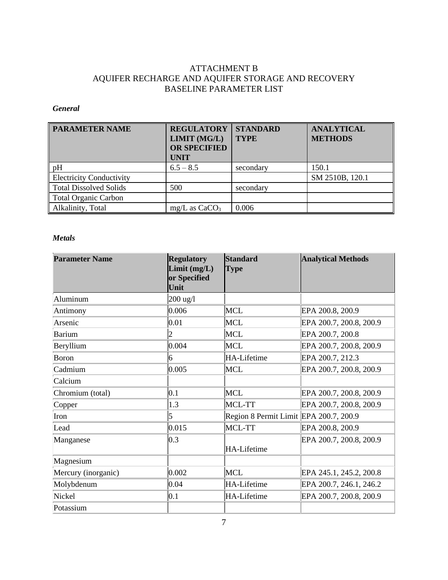## ATTACHMENT B AQUIFER RECHARGE AND AQUIFER STORAGE AND RECOVERY BASELINE PARAMETER LIST

#### *General*

| <b>PARAMETER NAME</b>           | <b>REGULATORY</b><br>LIMIT (MG/L)<br><b>OR SPECIFIED</b><br><b>UNIT</b> | <b>STANDARD</b><br><b>TYPE</b> | <b>ANALYTICAL</b><br><b>METHODS</b> |
|---------------------------------|-------------------------------------------------------------------------|--------------------------------|-------------------------------------|
| pH                              | $6.5 - 8.5$                                                             | secondary                      | 150.1                               |
| <b>Electricity Conductivity</b> |                                                                         |                                | SM 2510B, 120.1                     |
| <b>Total Dissolved Solids</b>   | 500                                                                     | secondary                      |                                     |
| <b>Total Organic Carbon</b>     |                                                                         |                                |                                     |
| Alkalinity, Total               | $mg/L$ as $CaCO3$                                                       | 0.006                          |                                     |

#### *Metals*

| <b>Parameter Name</b> | <b>Regulatory</b><br>Limit(mg/L)<br>or Specified<br>Unit | <b>Standard</b><br><b>Type</b>         | <b>Analytical Methods</b> |
|-----------------------|----------------------------------------------------------|----------------------------------------|---------------------------|
| Aluminum              | $200$ ug/l                                               |                                        |                           |
| Antimony              | 0.006                                                    | <b>MCL</b>                             | EPA 200.8, 200.9          |
| Arsenic               | 0.01                                                     | MCL                                    | EPA 200.7, 200.8, 200.9   |
| Barium                |                                                          | MCL                                    | EPA 200.7, 200.8          |
| Beryllium             | 0.004                                                    | MCL                                    | EPA 200.7, 200.8, 200.9   |
| Boron                 | 6                                                        | HA-Lifetime                            | EPA 200.7, 212.3          |
| Cadmium               | 0.005                                                    | MCL                                    | EPA 200.7, 200.8, 200.9   |
| Calcium               |                                                          |                                        |                           |
| Chromium (total)      | 0.1                                                      | MCL                                    | EPA 200.7, 200.8, 200.9   |
| Copper                | 1.3                                                      | MCL-TT                                 | EPA 200.7, 200.8, 200.9   |
| Iron                  | 5                                                        | Region 8 Permit Limit EPA 200.7, 200.9 |                           |
| Lead                  | 0.015                                                    | MCL-TT                                 | EPA 200.8, 200.9          |
| Manganese             | 0.3                                                      | <b>HA-Lifetime</b>                     | EPA 200.7, 200.8, 200.9   |
| Magnesium             |                                                          |                                        |                           |
| Mercury (inorganic)   | 0.002                                                    | MCL                                    | EPA 245.1, 245.2, 200.8   |
| Molybdenum            | $ 0.04\rangle$                                           | HA-Lifetime                            | EPA 200.7, 246.1, 246.2   |
| Nickel                | 0.1                                                      | HA-Lifetime                            | EPA 200.7, 200.8, 200.9   |
| Potassium             |                                                          |                                        |                           |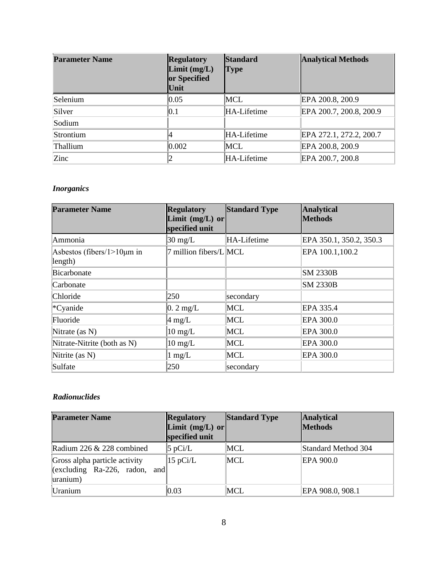| <b>Parameter Name</b> | <b>Regulatory</b><br>Limit(mg/L)<br><b>or Specified</b><br>Unit | <b>Standard</b><br><b>Type</b> | <b>Analytical Methods</b> |
|-----------------------|-----------------------------------------------------------------|--------------------------------|---------------------------|
| Selenium              | 0.05                                                            | MCL                            | EPA 200.8, 200.9          |
| Silver                | 0.1                                                             | HA-Lifetime                    | EPA 200.7, 200.8, 200.9   |
| Sodium                |                                                                 |                                |                           |
| Strontium             |                                                                 | HA-Lifetime                    | EPA 272.1, 272.2, 200.7   |
| Thallium              | $ 0.002\rangle$                                                 | MCL                            | EPA 200.8, 200.9          |
| Zinc                  |                                                                 | HA-Lifetime                    | EPA 200.7, 200.8          |

#### *Inorganics*

| <b>Parameter Name</b>                        | <b>Regulatory</b><br>Limit $(mg/L)$ or<br>specified unit | <b>Standard Type</b> | Analytical<br><b>Methods</b> |
|----------------------------------------------|----------------------------------------------------------|----------------------|------------------------------|
| Ammonia                                      | $30 \text{ mg/L}$                                        | HA-Lifetime          | EPA 350.1, 350.2, 350.3      |
| Asbestos (fibers/ $1>10 \mu m$ in<br>length) | 7 million fibers/L MCL                                   |                      | EPA 100.1,100.2              |
| Bicarbonate                                  |                                                          |                      | <b>SM 2330B</b>              |
| Carbonate                                    |                                                          |                      | <b>SM 2330B</b>              |
| Chloride                                     | 250                                                      | secondary            |                              |
| *Cyanide                                     | $0.2 \text{ mg/L}$                                       | MCL                  | EPA 335.4                    |
| Fluoride                                     | $4 \text{ mg/L}$                                         | MCL                  | EPA 300.0                    |
| Nitrate (as $N$ )                            | $10 \text{ mg/L}$                                        | <b>MCL</b>           | EPA 300.0                    |
| Nitrate-Nitrite (both as N)                  | $10 \text{ mg/L}$                                        | MCL                  | EPA 300.0                    |
| Nitrite (as N)                               | $1 \text{ mg/L}$                                         | MCL                  | EPA 300.0                    |
| Sulfate                                      | 250                                                      | secondary            |                              |

#### *Radionuclides*

| <b>Parameter Name</b>                                                                  | <b>Regulatory</b><br>Limit $(mg/L)$ or<br>specified unit | <b>Standard Type</b> | <b>Analytical</b><br><b>Methods</b> |
|----------------------------------------------------------------------------------------|----------------------------------------------------------|----------------------|-------------------------------------|
| Radium 226 & 228 combined                                                              | $ 5$ pCi/L                                               | MCL                  | Standard Method 304                 |
| Gross alpha particle activity<br>and<br>$\left[$ (excluding Ra-226, radon,<br>uranium) | $15$ pCi/L                                               | MCL                  | EPA 900.0                           |
| Uranium                                                                                | 0.03                                                     | MCL                  | EPA 908.0, 908.1                    |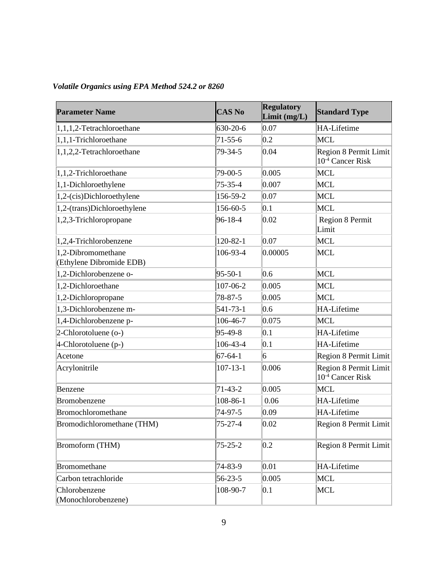| <b>Parameter Name</b>                          | <b>CAS No</b>  | <b>Regulatory</b><br>Limit (mg/L) | <b>Standard Type</b>                                  |
|------------------------------------------------|----------------|-----------------------------------|-------------------------------------------------------|
| 1,1,1,2-Tetrachloroethane                      | 630-20-6       | 0.07                              | HA-Lifetime                                           |
| 1,1,1-Trichloroethane                          | $71 - 55 - 6$  | 0.2                               | MCL                                                   |
| 1,1,2,2-Tetrachloroethane                      | 79-34-5        | 0.04                              | Region 8 Permit Limit<br>10 <sup>-4</sup> Cancer Risk |
| 1,1,2-Trichloroethane                          | 79-00-5        | 0.005                             | <b>MCL</b>                                            |
| 1,1-Dichloroethylene                           | $75 - 35 - 4$  | 0.007                             | MCL                                                   |
| 1,2-(cis)Dichloroethylene                      | 156-59-2       | 0.07                              | MCL                                                   |
| 1,2-(trans)Dichloroethylene                    | 156-60-5       | 0.1                               | MCL                                                   |
| 1,2,3-Trichloropropane                         | 96-18-4        | 0.02                              | Region 8 Permit<br>Limit                              |
| 1,2,4-Trichlorobenzene                         | $120 - 82 - 1$ | 0.07                              | MCL                                                   |
| 1,2-Dibromomethane<br>(Ethylene Dibromide EDB) | 106-93-4       | 0.00005                           | MCL                                                   |
| 1,2-Dichlorobenzene o-                         | $95 - 50 - 1$  | 0.6                               | MCL                                                   |
| 1,2-Dichloroethane                             | 107-06-2       | 0.005                             | MCL                                                   |
| 1,2-Dichloropropane                            | 78-87-5        | 0.005                             | MCL                                                   |
| 1,3-Dichlorobenzene m-                         | 541-73-1       | 0.6                               | HA-Lifetime                                           |
| 1,4-Dichlorobenzene p-                         | 106-46-7       | 0.075                             | MCL                                                   |
| 2-Chlorotoluene (o-)                           | $95-49-8$      | 0.1                               | HA-Lifetime                                           |
| 4-Chlorotoluene (p-)                           | 106-43-4       | 0.1                               | HA-Lifetime                                           |
| Acetone                                        | $67 - 64 - 1$  | 6                                 | Region 8 Permit Limit                                 |
| Acrylonitrile                                  | $107 - 13 - 1$ | 0.006                             | Region 8 Permit Limit<br>10 <sup>-4</sup> Cancer Risk |
| Benzene                                        | $71 - 43 - 2$  | 0.005                             | MCL                                                   |
| Bromobenzene                                   | 108-86-1       | 0.06                              | HA-Lifetime                                           |
| Bromochloromethane                             | 74-97-5        | 0.09                              | HA-Lifetime                                           |
| Bromodichloromethane (THM)                     | 75-27-4        | 0.02                              | Region 8 Permit Limit                                 |
| Bromoform (THM)                                | $75 - 25 - 2$  | 0.2                               | Region 8 Permit Limit                                 |
| <b>Bromomethane</b>                            | 74-83-9        | 0.01                              | HA-Lifetime                                           |
| Carbon tetrachloride                           | $56 - 23 - 5$  | 0.005                             | MCL                                                   |
| Chlorobenzene<br>(Monochlorobenzene)           | 108-90-7       | 0.1                               | MCL                                                   |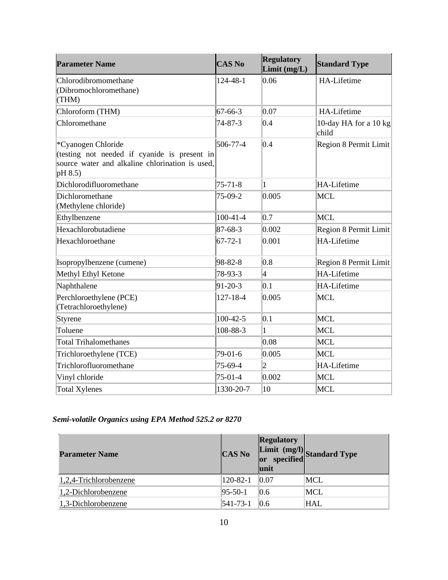| <b>Parameter Name</b>                                                                                                            | <b>CAS No</b>  | <b>Regulatory</b><br>Limit $(mg/L)$ | <b>Standard Type</b>           |
|----------------------------------------------------------------------------------------------------------------------------------|----------------|-------------------------------------|--------------------------------|
| Chlorodibromomethane<br>(Dibromochloromethane)<br>(THM)                                                                          | $124 - 48 - 1$ | 0.06                                | HA-Lifetime                    |
| Chloroform (THM)                                                                                                                 | $67 - 66 - 3$  | 0.07                                | HA-Lifetime                    |
| Chloromethane                                                                                                                    | 74-87-3        | 0.4                                 | 10-day HA for a 10 kg<br>child |
| *Cyanogen Chloride<br>(testing not needed if cyanide is present in<br>source water and alkaline chlorination is used,<br>pH 8.5) | 506-77-4       | 0.4                                 | Region 8 Permit Limit          |
| Dichlorodifluoromethane                                                                                                          | $75 - 71 - 8$  | $\mathbf{1}$                        | <b>HA-Lifetime</b>             |
| Dichloromethane<br>(Methylene chloride)                                                                                          | 75-09-2        | 0.005                               | MCL                            |
| Ethylbenzene                                                                                                                     | $100-41-4$     | 0.7                                 | MCL                            |
| Hexachlorobutadiene                                                                                                              | $87 - 68 - 3$  | $ 0.002\rangle$                     | Region 8 Permit Limit          |
| Hexachloroethane                                                                                                                 | $67 - 72 - 1$  | 0.001                               | <b>HA-Lifetime</b>             |
| Isopropylbenzene (cumene)                                                                                                        | 98-82-8        | 0.8                                 | Region 8 Permit Limit          |
| Methyl Ethyl Ketone                                                                                                              | 78-93-3        | 4                                   | <b>HA-Lifetime</b>             |
| Naphthalene                                                                                                                      | $91 - 20 - 3$  | 0.1                                 | HA-Lifetime                    |
| Perchloroethylene (PCE)<br>(Tetrachloroethylene)                                                                                 | $127 - 18 - 4$ | 0.005                               | MCL                            |
| <b>Styrene</b>                                                                                                                   | $100 - 42 - 5$ | 0.1                                 | MCL                            |
| Toluene                                                                                                                          | 108-88-3       | $\mathbf{1}$                        | MCL                            |
| <b>Total Trihalomethanes</b>                                                                                                     |                | 0.08                                | MCL                            |
| Trichloroethylene (TCE)                                                                                                          | 79-01-6        | 0.005                               | MCL                            |
| Trichlorofluoromethane                                                                                                           | 75-69-4        | $\overline{2}$                      | <b>HA-Lifetime</b>             |
| Vinyl chloride                                                                                                                   | $75-01-4$      | $ 0.002\rangle$                     | <b>MCL</b>                     |
| <b>Total Xylenes</b>                                                                                                             | 1330-20-7      | 10                                  | MCL                            |

## *Semi-volatile Organics using EPA Method 525.2 or 8270*

| <b>Parameter Name</b>     | <b>CAS No</b>  | <b>Regulatory</b><br>unit | Limit (mg/l)<br>or specified standard Type |
|---------------------------|----------------|---------------------------|--------------------------------------------|
| $1,2,4$ -Trichlorobenzene | $120 - 82 - 1$ | 0.07                      | MCL                                        |
| $1,2$ -Dichlorobenzene    | $ 95-50-1 $    | 0.6                       | MCL                                        |
| $ 1,3$ -Dichlorobenzene   | $ 541-73-1 $   | 0.6                       | <b>HAL</b>                                 |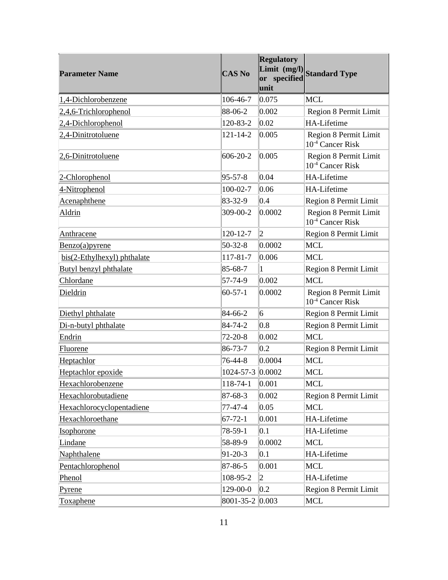| <b>Parameter Name</b>       | <b>CAS No</b>    | <b>Regulatory</b><br>unit | Limit (mg/l)<br>Standard Type                         |
|-----------------------------|------------------|---------------------------|-------------------------------------------------------|
| 1,4-Dichlorobenzene         | 106-46-7         | 0.075                     | <b>MCL</b>                                            |
| 2,4,6-Trichlorophenol       | 88-06-2          | 0.002                     | Region 8 Permit Limit                                 |
| 2,4-Dichlorophenol          | 120-83-2         | $ 0.02\rangle$            | HA-Lifetime                                           |
| 2,4-Dinitrotoluene          | $121 - 14 - 2$   | 0.005                     | Region 8 Permit Limit<br>10 <sup>-4</sup> Cancer Risk |
| 2,6-Dinitrotoluene          | $606 - 20 - 2$   | 0.005                     | Region 8 Permit Limit<br>10 <sup>-4</sup> Cancer Risk |
| 2-Chlorophenol              | $ 95 - 57 - 8 $  | 0.04                      | HA-Lifetime                                           |
| 4-Nitrophenol               | $100 - 02 - 7$   | 0.06                      | HA-Lifetime                                           |
| Acenaphthene                | 83-32-9          | 0.4                       | Region 8 Permit Limit                                 |
| Aldrin                      | 309-00-2         | 0.0002                    | Region 8 Permit Limit<br>10 <sup>-4</sup> Cancer Risk |
| Anthracene                  | $120 - 12 - 7$   | 2                         | Region 8 Permit Limit                                 |
| Benzo(a)pyrene              | $50 - 32 - 8$    | 0.0002                    | MCL                                                   |
| bis(2-Ethylhexyl) phthalate | 117-81-7         | 0.006                     | MCL                                                   |
| Butyl benzyl phthalate      | 85-68-7          | 1                         | Region 8 Permit Limit                                 |
| Chlordane                   | 57-74-9          | $ 0.002\rangle$           | MCL                                                   |
| Dieldrin                    | $60 - 57 - 1$    | $ 0.0002\rangle$          | Region 8 Permit Limit<br>10 <sup>-4</sup> Cancer Risk |
| Diethyl phthalate           | 84-66-2          | 6                         | Region 8 Permit Limit                                 |
| Di-n-butyl phthalate        | 84-74-2          | 0.8                       | Region 8 Permit Limit                                 |
| Endrin                      | $72 - 20 - 8$    | 0.002                     | MCL                                                   |
| <b>Fluorene</b>             | $ 86-73-7$       | 0.2                       | Region 8 Permit Limit                                 |
| Heptachlor                  | 76-44-8          | 0.0004                    | MCL                                                   |
| Heptachlor epoxide          | 1024-57-3 0.0002 |                           | MCL                                                   |
| Hexachlorobenzene           | $118 - 74 - 1$   | 0.001                     | MCL                                                   |
| Hexachlorobutadiene         | 87-68-3          | $ 0.002\rangle$           | Region 8 Permit Limit                                 |
| Hexachlorocyclopentadiene   | 77-47-4          | $ 0.05\rangle$            | <b>MCL</b>                                            |
| Hexachloroethane            | $67 - 72 - 1$    | 0.001                     | <b>HA-Lifetime</b>                                    |
| Isophorone                  | $78-59-1$        | 0.1                       | <b>HA-Lifetime</b>                                    |
| Lindane                     | 58-89-9          | 0.0002                    | <b>MCL</b>                                            |
| Naphthalene                 | $91 - 20 - 3$    | 0.1                       | <b>HA-Lifetime</b>                                    |
| Pentachlorophenol           | 87-86-5          | 0.001                     | <b>MCL</b>                                            |
| Phenol                      | 108-95-2         | $ 2\rangle$               | HA-Lifetime                                           |
| <u>Pyrene</u>               | $129 - 00 - 0$   | 0.2                       | Region 8 Permit Limit                                 |
| Toxaphene                   | 8001-35-2 0.003  |                           | MCL                                                   |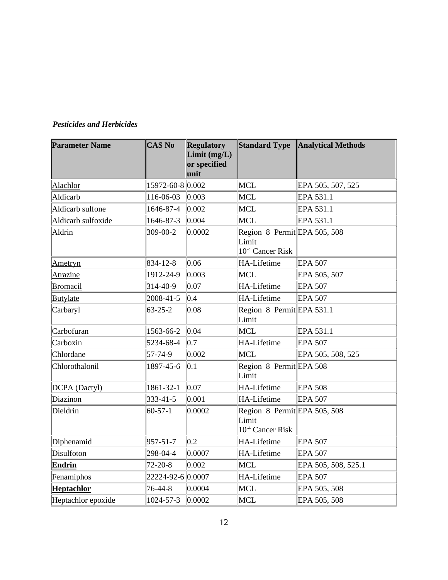## *Pesticides and Herbicides*

| <b>Parameter Name</b> | <b>CAS No</b>     | <b>Regulatory</b><br>Limit (mg/L)<br>or specified<br>unit | <b>Standard Type</b>                                                  | <b>Analytical Methods</b> |
|-----------------------|-------------------|-----------------------------------------------------------|-----------------------------------------------------------------------|---------------------------|
| Alachlor              | 15972-60-8 0.002  |                                                           | MCL                                                                   | EPA 505, 507, 525         |
| Aldicarb              | 116-06-03         | 0.003                                                     | <b>MCL</b>                                                            | EPA 531.1                 |
| Aldicarb sulfone      | 1646-87-4         | $ 0.002\rangle$                                           | MCL                                                                   | EPA 531.1                 |
| Aldicarb sulfoxide    | 1646-87-3         | 0.004                                                     | MCL                                                                   | EPA 531.1                 |
| Aldrin                | 309-00-2          | 0.0002                                                    | Region 8 Permit EPA 505, 508<br>Limit<br>10 <sup>-4</sup> Cancer Risk |                           |
| Ametryn               | $834 - 12 - 8$    | 0.06                                                      | HA-Lifetime                                                           | <b>EPA 507</b>            |
| Atrazine              | 1912-24-9         | $ 0.003\rangle$                                           | MCL                                                                   | EPA 505, 507              |
| <b>Bromacil</b>       | 314-40-9          | 0.07                                                      | <b>HA-Lifetime</b>                                                    | <b>EPA 507</b>            |
| Butylate              | 2008-41-5         | 0.4                                                       | HA-Lifetime                                                           | <b>EPA 507</b>            |
| Carbaryl              | $63 - 25 - 2$     | 0.08                                                      | Region 8 Permit EPA 531.1<br>Limit                                    |                           |
| Carbofuran            | 1563-66-2         | 0.04                                                      | MCL                                                                   | EPA 531.1                 |
| Carboxin              | 5234-68-4         | 0.7                                                       | HA-Lifetime                                                           | EPA 507                   |
| Chlordane             | 57-74-9           | 0.002                                                     | MCL                                                                   | EPA 505, 508, 525         |
| Chlorothalonil        | 1897-45-6         | 0.1                                                       | Region 8 Permit EPA 508<br>Limit                                      |                           |
| DCPA (Dactyl)         | 1861-32-1         | $ 0.07\rangle$                                            | HA-Lifetime                                                           | <b>EPA 508</b>            |
| Diazinon              | 333-41-5          | 0.001                                                     | <b>HA-Lifetime</b>                                                    | <b>EPA 507</b>            |
| Dieldrin              | $60 - 57 - 1$     | 0.0002                                                    | Region 8 Permit EPA 505, 508<br>Limit<br>10 <sup>-4</sup> Cancer Risk |                           |
| Diphenamid            | $957 - 51 - 7$    | 0.2                                                       | HA-Lifetime                                                           | <b>EPA 507</b>            |
| Disulfoton            | 298-04-4          | 0.0007                                                    | HA-Lifetime                                                           | <b>EPA 507</b>            |
| <b>Endrin</b>         | $72 - 20 - 8$     | 0.002                                                     | MCL                                                                   | EPA 505, 508, 525.1       |
| Fenamiphos            | 22224-92-6 0.0007 |                                                           | <b>HA-Lifetime</b>                                                    | <b>EPA 507</b>            |
| <b>Heptachlor</b>     | 76-44-8           | 0.0004                                                    | MCL                                                                   | EPA 505, 508              |
| Heptachlor epoxide    | 1024-57-3         | $ 0.0002\rangle$                                          | MCL                                                                   | EPA 505, 508              |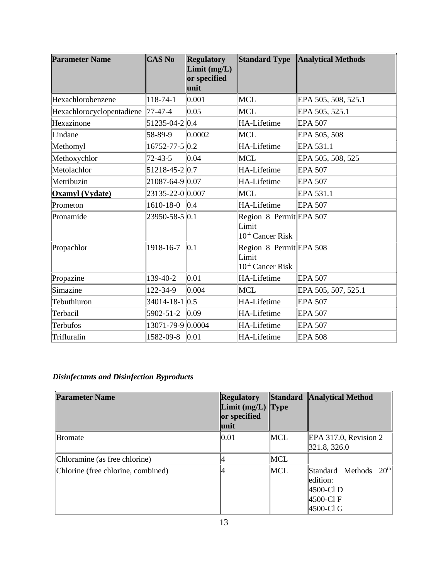| <b>Parameter Name</b>     | <b>CAS No</b>       | <b>Regulatory</b><br>Limit $(mg/L)$<br>or specified<br>unit |                                                                  | Standard Type Analytical Methods |
|---------------------------|---------------------|-------------------------------------------------------------|------------------------------------------------------------------|----------------------------------|
| Hexachlorobenzene         | 118-74-1            | 0.001                                                       | MCL                                                              | EPA 505, 508, 525.1              |
| Hexachlorocyclopentadiene | 77-47-4             | 0.05                                                        | MCL                                                              | EPA 505, 525.1                   |
| Hexazinone                | 51235-04-2 0.4      |                                                             | HA-Lifetime                                                      | EPA 507                          |
| Lindane                   | 58-89-9             | 0.0002                                                      | MCL                                                              | EPA 505, 508                     |
| Methomyl                  | $16752 - 77 - 50.2$ |                                                             | HA-Lifetime                                                      | EPA 531.1                        |
| Methoxychlor              | $72 - 43 - 5$       | $ 0.04\rangle$                                              | MCL                                                              | EPA 505, 508, 525                |
| Metolachlor               | $51218 - 45 - 20.7$ |                                                             | HA-Lifetime                                                      | EPA 507                          |
| Metribuzin                | 21087-64-9 0.07     |                                                             | HA-Lifetime                                                      | <b>EPA 507</b>                   |
| Oxamyl (Vydate)           | 23135-22-0 0.007    |                                                             | MCL                                                              | EPA 531.1                        |
| Prometon                  | $1610-18-0$ 0.4     |                                                             | HA-Lifetime                                                      | EPA 507                          |
| Pronamide                 | 23950-58-5 0.1      |                                                             | Region 8 Permit EPA 507<br>Limit<br>10 <sup>-4</sup> Cancer Risk |                                  |
| Propachlor                | 1918-16-7           | $ 0.1\rangle$                                               | Region 8 Permit EPA 508<br>Limit<br>10 <sup>-4</sup> Cancer Risk |                                  |
| Propazine                 | 139-40-2            | 0.01                                                        | HA-Lifetime                                                      | <b>EPA 507</b>                   |
| Simazine                  | 122-34-9            | 0.004                                                       | MCL                                                              | EPA 505, 507, 525.1              |
| Tebuthiuron               | 34014-18-1 0.5      |                                                             | HA-Lifetime                                                      | <b>EPA 507</b>                   |
| Terbacil                  | 5902-51-2           | $ 0.09\rangle$                                              | HA-Lifetime                                                      | <b>EPA 507</b>                   |
| Terbufos                  | 13071-79-9 0.0004   |                                                             | HA-Lifetime                                                      | <b>EPA 507</b>                   |
| Trifluralin               | 1582-09-8           | 0.01                                                        | HA-Lifetime                                                      | <b>EPA 508</b>                   |

## *Disinfectants and Disinfection Byproducts*

| <b>Parameter Name</b>              | <b>Regulatory</b><br>Limit $(mg/L)$ Type<br>or specified<br>unit | Standard | <b>Analytical Method</b>                                                                  |
|------------------------------------|------------------------------------------------------------------|----------|-------------------------------------------------------------------------------------------|
| <b>Bromate</b>                     | 0.01                                                             | MCL      | $EPA$ 317.0, Revision 2<br>321.8, 326.0                                                   |
| Chloramine (as free chlorine)      |                                                                  | MCL      |                                                                                           |
| Chlorine (free chlorine, combined) |                                                                  | MCL      | 20 <sup>th</sup><br>Standard Methods<br>ledition:<br>4500-Cl D<br> 4500-Cl F<br>4500-Cl G |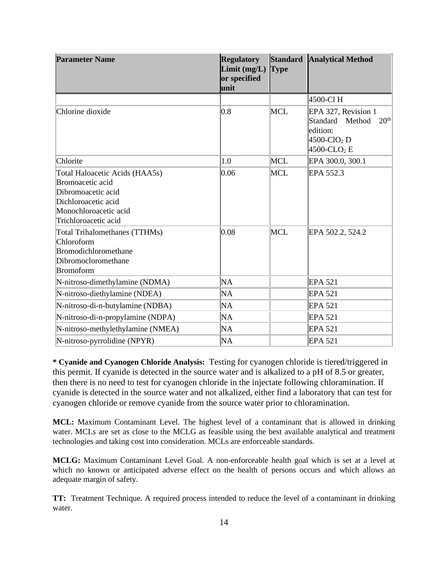| <b>Parameter Name</b>                                                                                                                                                                                                                                 | <b>Regulatory</b><br>Limit(mg/L)<br>or specified<br>unit | <b>Type</b>       | Standard Analytical Method                                                                                                         |
|-------------------------------------------------------------------------------------------------------------------------------------------------------------------------------------------------------------------------------------------------------|----------------------------------------------------------|-------------------|------------------------------------------------------------------------------------------------------------------------------------|
|                                                                                                                                                                                                                                                       |                                                          |                   | 4500-Cl H                                                                                                                          |
| Chlorine dioxide                                                                                                                                                                                                                                      | 0.8                                                      | <b>MCL</b>        | EPA 327, Revision 1<br>20 <sup>th</sup><br>Standard Method<br>edition:<br>$4500$ -ClO <sub>2</sub> D<br>$4500$ -CLO <sub>2</sub> E |
| Chlorite                                                                                                                                                                                                                                              | 1.0                                                      | <b>MCL</b>        | EPA 300.0, 300.1                                                                                                                   |
| Total Haloacetic Acids (HAA5s)<br>Bromoacetic acid<br>Dibromoacetic acid<br>Dichloroacetic acid<br>Monochloroacetic acid<br>Trichloroacetic acid<br><b>Total Trihalomethanes (TTHMs)</b><br>Chloroform<br>Bromodichloromethane<br>Dibromocloromethane | 0.06<br>0.08                                             | MCL<br><b>MCL</b> | EPA 552.3<br>EPA 502.2, 524.2                                                                                                      |
| <b>Bromoform</b>                                                                                                                                                                                                                                      |                                                          |                   |                                                                                                                                    |
| N-nitroso-dimethylamine (NDMA)                                                                                                                                                                                                                        | <b>NA</b>                                                |                   | EPA 521                                                                                                                            |
| N-nitroso-diethylamine (NDEA)                                                                                                                                                                                                                         | <b>NA</b>                                                |                   | EPA 521                                                                                                                            |
| N-nitroso-di-n-butylamine (NDBA)                                                                                                                                                                                                                      | <b>NA</b>                                                |                   | EPA 521                                                                                                                            |
| N-nitroso-di-n-propylamine (NDPA)                                                                                                                                                                                                                     | <b>NA</b>                                                |                   | EPA 521                                                                                                                            |
| N-nitroso-methylethylamine (NMEA)                                                                                                                                                                                                                     | <b>NA</b>                                                |                   | <b>EPA 521</b>                                                                                                                     |
| N-nitroso-pyrrolidine (NPYR)                                                                                                                                                                                                                          | <b>NA</b>                                                |                   | <b>EPA 521</b>                                                                                                                     |

**\* Cyanide and Cyanogen Chloride Analysis:** Testing for cyanogen chloride is tiered/triggered in this permit. If cyanide is detected in the source water and is alkalized to a pH of 8.5 or greater, then there is no need to test for cyanogen chloride in the injectate following chloramination. If cyanide is detected in the source water and not alkalized, either find a laboratory that can test for cyanogen chloride or remove cyanide from the source water prior to chloramination.

**MCL:** Maximum Contaminant Level. The highest level of a contaminant that is allowed in drinking water. MCLs are set as close to the MCLG as feasible using the best available analytical and treatment technologies and taking cost into consideration. MCLs are enforceable standards.

**MCLG:** Maximum Contaminant Level Goal. A non-enforceable health goal which is set at a level at which no known or anticipated adverse effect on the health of persons occurs and which allows an adequate margin of safety.

**TT:** Treatment Technique. A required process intended to reduce the level of a contaminant in drinking water.